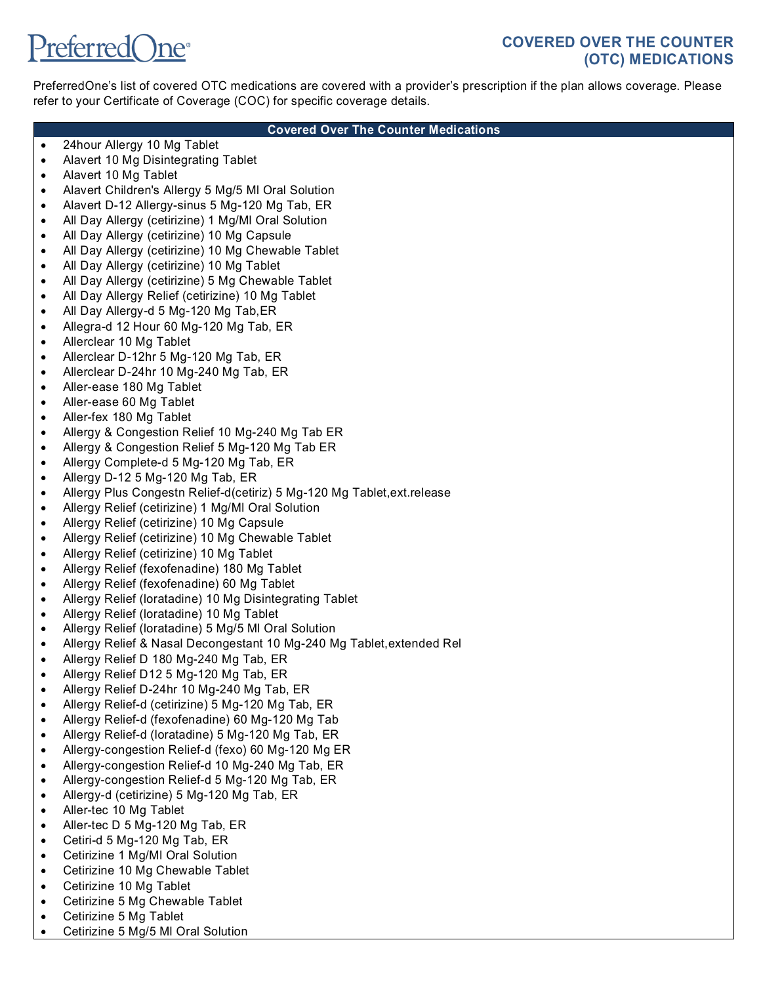# PreferredOne<sup>®</sup>

## **COVERED OVER THE COUNTER (OTC) MEDICATIONS**

PreferredOne's list of covered OTC medications are covered with a provider's prescription if the plan allows coverage. Please refer to your Certificate of Coverage (COC) for specific coverage details.

#### **Covered Over The Counter Medications**

- 24hour Allergy 10 Mg Tablet
- Alavert 10 Mg Disintegrating Tablet
- Alavert 10 Mg Tablet
- Alavert Children's Allergy 5 Mg/5 Ml Oral Solution
- Alavert D-12 Allergy-sinus 5 Mg-120 Mg Tab, ER
- All Day Allergy (cetirizine) 1 Mg/Ml Oral Solution
- All Day Allergy (cetirizine) 10 Mg Capsule
- All Day Allergy (cetirizine) 10 Mg Chewable Tablet
- All Day Allergy (cetirizine) 10 Mg Tablet
- All Day Allergy (cetirizine) 5 Mg Chewable Tablet
- All Day Allergy Relief (cetirizine) 10 Mg Tablet
- All Day Allergy-d 5 Mg-120 Mg Tab,ER
- Allegra-d 12 Hour 60 Mg-120 Mg Tab, ER
- Allerclear 10 Mg Tablet
- Allerclear D-12hr 5 Mg-120 Mg Tab, ER
- Allerclear D-24hr 10 Mg-240 Mg Tab, ER
- Aller-ease 180 Mg Tablet
- Aller-ease 60 Mg Tablet
- Aller-fex 180 Mg Tablet
- Allergy & Congestion Relief 10 Mg-240 Mg Tab ER
- Allergy & Congestion Relief 5 Mg-120 Mg Tab ER
- Allergy Complete-d 5 Mg-120 Mg Tab, ER
- Allergy D-12 5 Mg-120 Mg Tab, ER
- Allergy Plus Congestn Relief-d(cetiriz) 5 Mg-120 Mg Tablet,ext.release
- Allergy Relief (cetirizine) 1 Mg/Ml Oral Solution
- Allergy Relief (cetirizine) 10 Mg Capsule
- Allergy Relief (cetirizine) 10 Mg Chewable Tablet
- Allergy Relief (cetirizine) 10 Mg Tablet
- Allergy Relief (fexofenadine) 180 Mg Tablet
- Allergy Relief (fexofenadine) 60 Mg Tablet
- Allergy Relief (loratadine) 10 Mg Disintegrating Tablet
- Allergy Relief (loratadine) 10 Mg Tablet
- Allergy Relief (loratadine) 5 Mg/5 Ml Oral Solution
- Allergy Relief & Nasal Decongestant 10 Mg-240 Mg Tablet,extended Rel
- Allergy Relief D 180 Mg-240 Mg Tab, ER
- Allergy Relief D12 5 Mg-120 Mg Tab, ER
- Allergy Relief D-24hr 10 Mg-240 Mg Tab, ER
- Allergy Relief-d (cetirizine) 5 Mg-120 Mg Tab, ER
- Allergy Relief-d (fexofenadine) 60 Mg-120 Mg Tab
- Allergy Relief-d (loratadine) 5 Mg-120 Mg Tab, ER
- Allergy-congestion Relief-d (fexo) 60 Mg-120 Mg ER
- Allergy-congestion Relief-d 10 Mg-240 Mg Tab, ER
- Allergy-congestion Relief-d 5 Mg-120 Mg Tab, ER
- Allergy-d (cetirizine) 5 Mg-120 Mg Tab, ER
- Aller-tec 10 Mg Tablet
- Aller-tec D 5 Mg-120 Mg Tab, ER
- Cetiri-d 5 Mg-120 Mg Tab, ER
- Cetirizine 1 Mg/Ml Oral Solution
- Cetirizine 10 Mg Chewable Tablet
- Cetirizine 10 Mg Tablet
- Cetirizine 5 Mg Chewable Tablet
- Cetirizine 5 Mg Tablet
- Cetirizine 5 Mg/5 Ml Oral Solution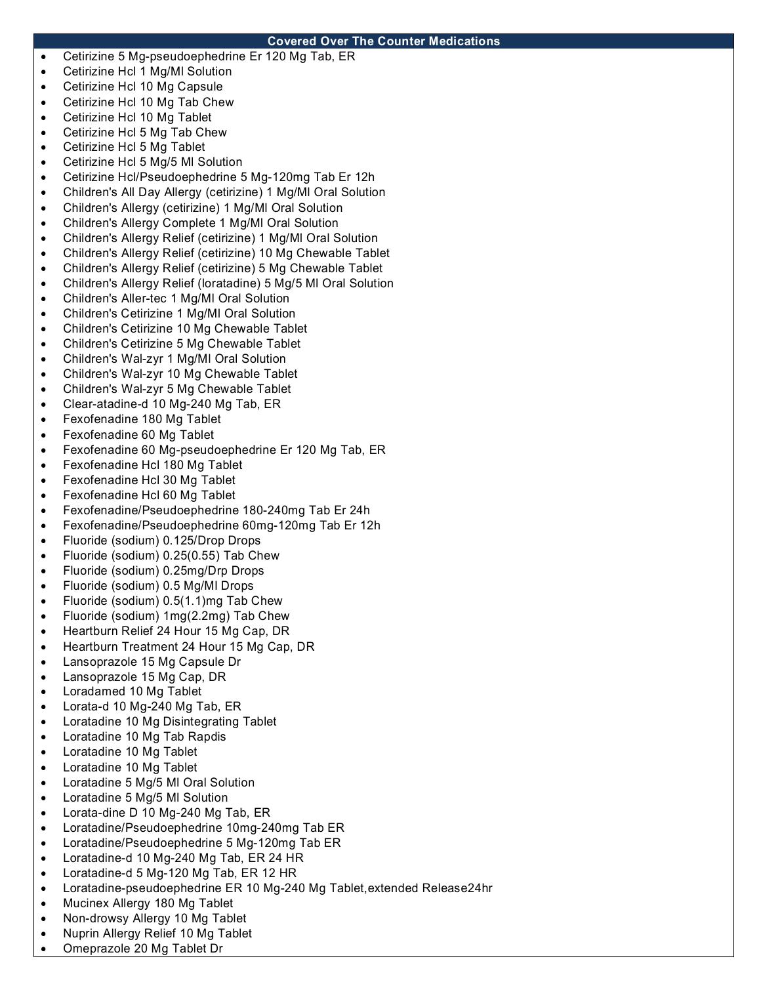### **Covered Over The Counter Medications**

- Cetirizine 5 Mg-pseudoephedrine Er 120 Mg Tab, ER
- Cetirizine Hcl 1 Mg/Ml Solution
- Cetirizine Hcl 10 Mg Capsule
- Cetirizine Hcl 10 Mg Tab Chew
- Cetirizine Hcl 10 Mg Tablet
- Cetirizine Hcl 5 Mg Tab Chew
- Cetirizine Hcl 5 Mg Tablet
- Cetirizine Hcl 5 Mg/5 MI Solution
- Cetirizine Hcl/Pseudoephedrine 5 Mg-120mg Tab Er 12h
- Children's All Day Allergy (cetirizine) 1 Mg/Ml Oral Solution
- Children's Allergy (cetirizine) 1 Mg/Ml Oral Solution
- Children's Allergy Complete 1 Mg/Ml Oral Solution
- Children's Allergy Relief (cetirizine) 1 Mg/Ml Oral Solution
- Children's Allergy Relief (cetirizine) 10 Mg Chewable Tablet
- Children's Allergy Relief (cetirizine) 5 Mg Chewable Tablet
- Children's Allergy Relief (loratadine) 5 Mg/5 Ml Oral Solution
- Children's Aller-tec 1 Mg/Ml Oral Solution
- Children's Cetirizine 1 Mg/Ml Oral Solution
- Children's Cetirizine 10 Mg Chewable Tablet
- Children's Cetirizine 5 Mg Chewable Tablet
- Children's Wal-zyr 1 Mg/Ml Oral Solution
- Children's Wal-zyr 10 Mg Chewable Tablet
- Children's Wal-zyr 5 Mg Chewable Tablet
- Clear-atadine-d 10 Mg-240 Mg Tab, ER
- Fexofenadine 180 Mg Tablet
- Fexofenadine 60 Mg Tablet
- Fexofenadine 60 Mg-pseudoephedrine Er 120 Mg Tab, ER
- Fexofenadine Hcl 180 Mg Tablet
- Fexofenadine Hcl 30 Mg Tablet
- Fexofenadine Hcl 60 Mg Tablet
- Fexofenadine/Pseudoephedrine 180-240mg Tab Er 24h
- Fexofenadine/Pseudoephedrine 60mg-120mg Tab Er 12h
- Fluoride (sodium) 0.125/Drop Drops
- Fluoride (sodium) 0.25(0.55) Tab Chew
- Fluoride (sodium) 0.25mg/Drp Drops
- Fluoride (sodium) 0.5 Mg/Ml Drops
- Fluoride (sodium) 0.5(1.1)mg Tab Chew
- Fluoride (sodium) 1mg(2.2mg) Tab Chew
- Heartburn Relief 24 Hour 15 Mg Cap, DR
- Heartburn Treatment 24 Hour 15 Mg Cap, DR
- Lansoprazole 15 Mg Capsule Dr
- Lansoprazole 15 Mg Cap, DR
- Loradamed 10 Mg Tablet
- Lorata-d 10 Mg-240 Mg Tab, ER
- Loratadine 10 Mg Disintegrating Tablet
- Loratadine 10 Mg Tab Rapdis
- Loratadine 10 Mg Tablet
- Loratadine 10 Mg Tablet
- Loratadine 5 Mg/5 Ml Oral Solution
- Loratadine 5 Mg/5 Ml Solution
- Lorata-dine D 10 Mg-240 Mg Tab, ER
- Loratadine/Pseudoephedrine 10mg-240mg Tab ER
- Loratadine/Pseudoephedrine 5 Mg-120mg Tab ER
- Loratadine-d 10 Mg-240 Mg Tab, ER 24 HR
- Loratadine-d 5 Mg-120 Mg Tab, ER 12 HR
- Loratadine-pseudoephedrine ER 10 Mg-240 Mg Tablet,extended Release24hr
- Mucinex Allergy 180 Mg Tablet
- Non-drowsy Allergy 10 Mg Tablet
- Nuprin Allergy Relief 10 Mg Tablet
- Omeprazole 20 Mg Tablet Dr